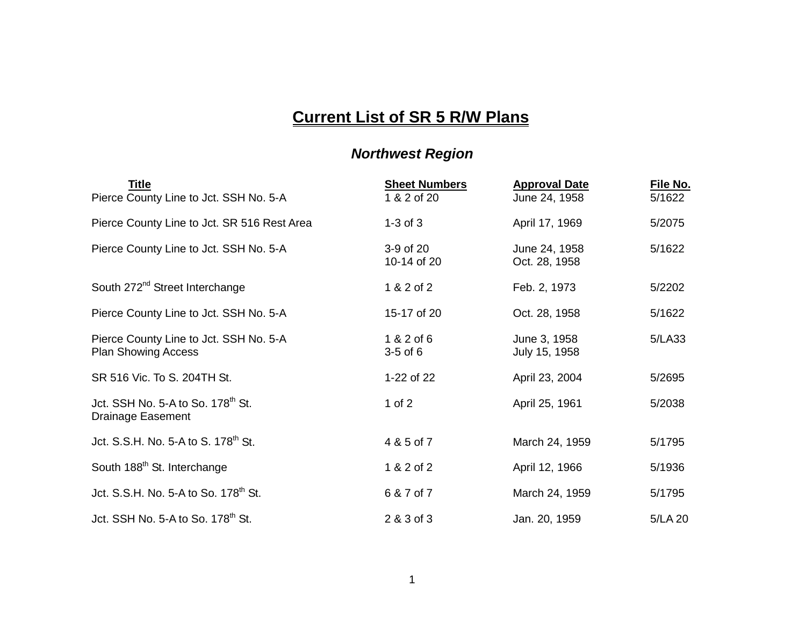## **Current List of SR 5 R/W Plans**

## *Northwest Region*

| <u>Title</u><br>Pierce County Line to Jct. SSH No. 5-A                    | <b>Sheet Numbers</b><br>1 & 2 of 20 | <b>Approval Date</b><br>June 24, 1958 | File No.<br>5/1622 |
|---------------------------------------------------------------------------|-------------------------------------|---------------------------------------|--------------------|
| Pierce County Line to Jct. SR 516 Rest Area                               | $1-3$ of $3$                        | April 17, 1969                        | 5/2075             |
| Pierce County Line to Jct. SSH No. 5-A                                    | 3-9 of 20<br>10-14 of 20            | June 24, 1958<br>Oct. 28, 1958        | 5/1622             |
| South 272 <sup>nd</sup> Street Interchange                                | 1 & 2 of 2                          | Feb. 2, 1973                          | 5/2202             |
| Pierce County Line to Jct. SSH No. 5-A                                    | 15-17 of 20                         | Oct. 28, 1958                         | 5/1622             |
| Pierce County Line to Jct. SSH No. 5-A<br><b>Plan Showing Access</b>      | 1 & 2 of 6<br>$3-5$ of $6$          | June 3, 1958<br>July 15, 1958         | 5/LA33             |
| SR 516 Vic. To S. 204TH St.                                               | 1-22 of 22                          | April 23, 2004                        | 5/2695             |
| Jct. SSH No. 5-A to So. 178 <sup>th</sup> St.<br><b>Drainage Easement</b> | 1 of $2$                            | April 25, 1961                        | 5/2038             |
| Jct. S.S.H. No. 5-A to S. 178 <sup>th</sup> St.                           | 4 & 5 of 7                          | March 24, 1959                        | 5/1795             |
| South 188 <sup>th</sup> St. Interchange                                   | 1 & 2 of 2                          | April 12, 1966                        | 5/1936             |
| Jct. S.S.H. No. 5-A to So. 178 <sup>th</sup> St.                          | 6 & 7 of 7                          | March 24, 1959                        | 5/1795             |
| Jct. SSH No. 5-A to So. $178th$ St.                                       | 2 & 3 of 3                          | Jan. 20, 1959                         | 5/LA 20            |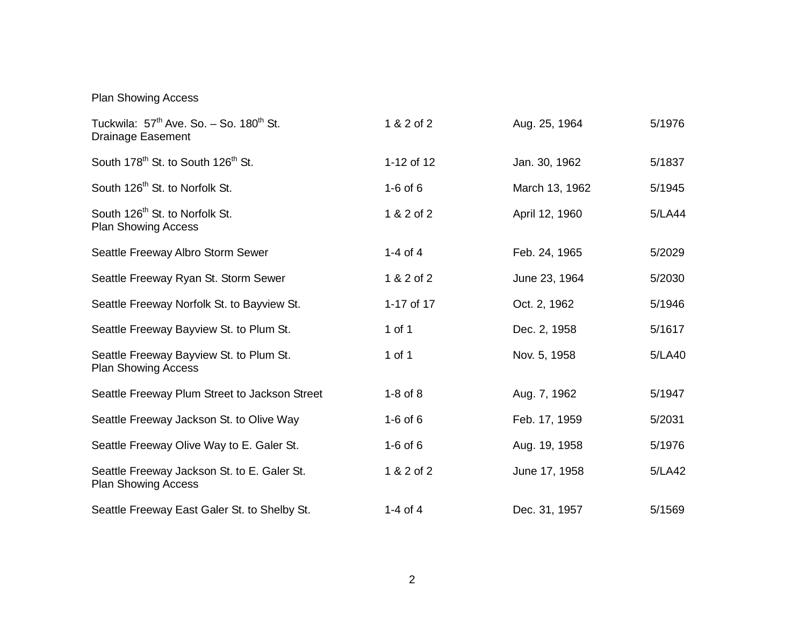Plan Showing Access

| Tuckwila: $57th$ Ave. So. $-$ So. 180 <sup>th</sup> St.<br><b>Drainage Easement</b> | 1 & 2 of 2   | Aug. 25, 1964  | 5/1976 |
|-------------------------------------------------------------------------------------|--------------|----------------|--------|
| South 178 <sup>th</sup> St. to South 126 <sup>th</sup> St.                          | 1-12 of 12   | Jan. 30, 1962  | 5/1837 |
| South 126 <sup>th</sup> St. to Norfolk St.                                          | $1-6$ of $6$ | March 13, 1962 | 5/1945 |
| South 126 <sup>th</sup> St. to Norfolk St.<br><b>Plan Showing Access</b>            | 1 & 2 of 2   | April 12, 1960 | 5/LA44 |
| Seattle Freeway Albro Storm Sewer                                                   | 1-4 of 4     | Feb. 24, 1965  | 5/2029 |
| Seattle Freeway Ryan St. Storm Sewer                                                | 1 & 2 of 2   | June 23, 1964  | 5/2030 |
| Seattle Freeway Norfolk St. to Bayview St.                                          | 1-17 of 17   | Oct. 2, 1962   | 5/1946 |
| Seattle Freeway Bayview St. to Plum St.                                             | 1 of 1       | Dec. 2, 1958   | 5/1617 |
| Seattle Freeway Bayview St. to Plum St.<br><b>Plan Showing Access</b>               | 1 of 1       | Nov. 5, 1958   | 5/LA40 |
| Seattle Freeway Plum Street to Jackson Street                                       | $1-8$ of $8$ | Aug. 7, 1962   | 5/1947 |
| Seattle Freeway Jackson St. to Olive Way                                            | $1-6$ of $6$ | Feb. 17, 1959  | 5/2031 |
| Seattle Freeway Olive Way to E. Galer St.                                           | $1-6$ of $6$ | Aug. 19, 1958  | 5/1976 |
| Seattle Freeway Jackson St. to E. Galer St.<br><b>Plan Showing Access</b>           | 1 & 2 of 2   | June 17, 1958  | 5/LA42 |
| Seattle Freeway East Galer St. to Shelby St.                                        | 1-4 of 4     | Dec. 31, 1957  | 5/1569 |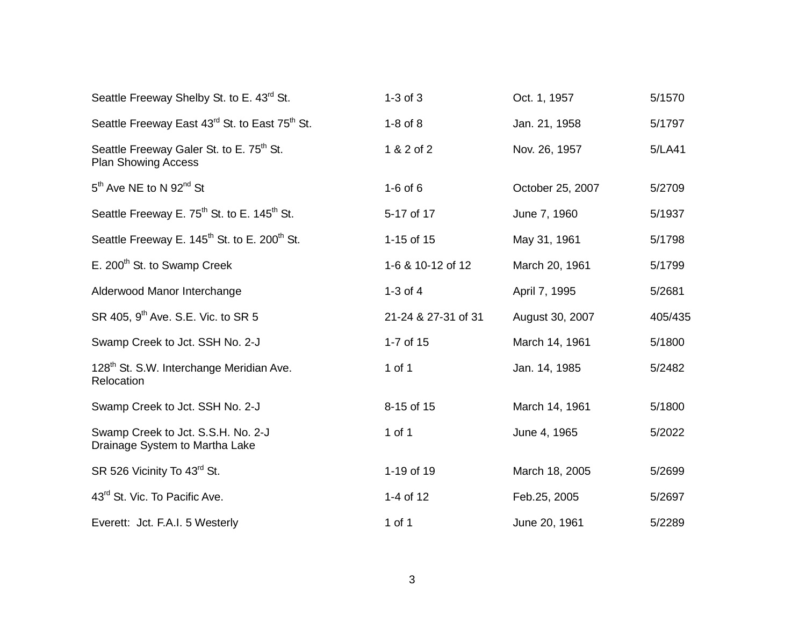| Seattle Freeway Shelby St. to E. 43 <sup>rd</sup> St.                              | $1-3$ of $3$        | Oct. 1, 1957     | 5/1570  |
|------------------------------------------------------------------------------------|---------------------|------------------|---------|
| Seattle Freeway East 43 <sup>rd</sup> St. to East 75 <sup>th</sup> St.             | $1-8$ of $8$        | Jan. 21, 1958    | 5/1797  |
| Seattle Freeway Galer St. to E. 75 <sup>th</sup> St.<br><b>Plan Showing Access</b> | 1 & 2 of 2          | Nov. 26, 1957    | 5/LA41  |
| 5 <sup>th</sup> Ave NE to N 92 <sup>nd</sup> St                                    | $1-6$ of $6$        | October 25, 2007 | 5/2709  |
| Seattle Freeway E. 75 <sup>th</sup> St. to E. 145 <sup>th</sup> St.                | 5-17 of 17          | June 7, 1960     | 5/1937  |
| Seattle Freeway E. 145 <sup>th</sup> St. to E. 200 <sup>th</sup> St.               | 1-15 of 15          | May 31, 1961     | 5/1798  |
| E. 200 <sup>th</sup> St. to Swamp Creek                                            | 1-6 & 10-12 of 12   | March 20, 1961   | 5/1799  |
| Alderwood Manor Interchange                                                        | 1-3 of $4$          | April 7, 1995    | 5/2681  |
| SR 405, 9 <sup>th</sup> Ave. S.E. Vic. to SR 5                                     | 21-24 & 27-31 of 31 | August 30, 2007  | 405/435 |
| Swamp Creek to Jct. SSH No. 2-J                                                    | 1-7 of 15           | March 14, 1961   | 5/1800  |
| 128 <sup>th</sup> St. S.W. Interchange Meridian Ave.<br>Relocation                 | 1 of 1              | Jan. 14, 1985    | 5/2482  |
| Swamp Creek to Jct. SSH No. 2-J                                                    | 8-15 of 15          | March 14, 1961   | 5/1800  |
| Swamp Creek to Jct. S.S.H. No. 2-J<br>Drainage System to Martha Lake               | 1 of 1              | June 4, 1965     | 5/2022  |
| SR 526 Vicinity To 43 <sup>rd</sup> St.                                            | 1-19 of 19          | March 18, 2005   | 5/2699  |
| 43 <sup>rd</sup> St. Vic. To Pacific Ave.                                          | 1-4 of 12           | Feb.25, 2005     | 5/2697  |
| Everett: Jct. F.A.I. 5 Westerly                                                    | 1 of 1              | June 20, 1961    | 5/2289  |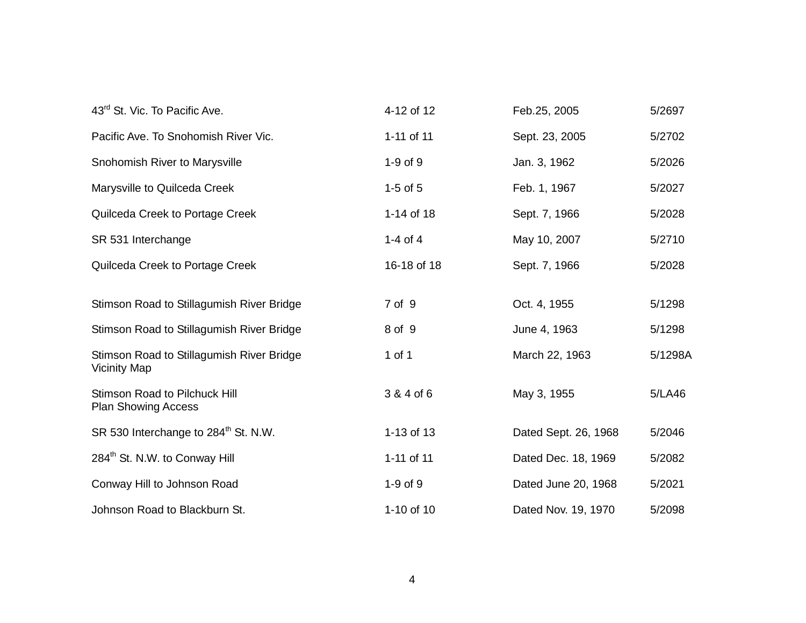| 43 <sup>rd</sup> St. Vic. To Pacific Ave.                          | 4-12 of 12   | Feb.25, 2005         | 5/2697  |
|--------------------------------------------------------------------|--------------|----------------------|---------|
| Pacific Ave. To Snohomish River Vic.                               | 1-11 of 11   | Sept. 23, 2005       | 5/2702  |
| Snohomish River to Marysville                                      | $1-9$ of $9$ | Jan. 3, 1962         | 5/2026  |
| Marysville to Quilceda Creek                                       | $1-5$ of $5$ | Feb. 1, 1967         | 5/2027  |
| Quilceda Creek to Portage Creek                                    | 1-14 of 18   | Sept. 7, 1966        | 5/2028  |
| SR 531 Interchange                                                 | 1-4 of 4     | May 10, 2007         | 5/2710  |
| Quilceda Creek to Portage Creek                                    | 16-18 of 18  | Sept. 7, 1966        | 5/2028  |
| Stimson Road to Stillagumish River Bridge                          | 7 of 9       | Oct. 4, 1955         | 5/1298  |
| Stimson Road to Stillagumish River Bridge                          | 8 of 9       | June 4, 1963         | 5/1298  |
| Stimson Road to Stillagumish River Bridge<br>Vicinity Map          | 1 of 1       | March 22, 1963       | 5/1298A |
| <b>Stimson Road to Pilchuck Hill</b><br><b>Plan Showing Access</b> | 3 & 4 of 6   | May 3, 1955          | 5/LA46  |
| SR 530 Interchange to 284 <sup>th</sup> St. N.W.                   | 1-13 of 13   | Dated Sept. 26, 1968 | 5/2046  |
| 284 <sup>th</sup> St. N.W. to Conway Hill                          | 1-11 of 11   | Dated Dec. 18, 1969  | 5/2082  |
| Conway Hill to Johnson Road                                        | $1-9$ of $9$ | Dated June 20, 1968  | 5/2021  |
| Johnson Road to Blackburn St.                                      | 1-10 of 10   | Dated Nov. 19, 1970  | 5/2098  |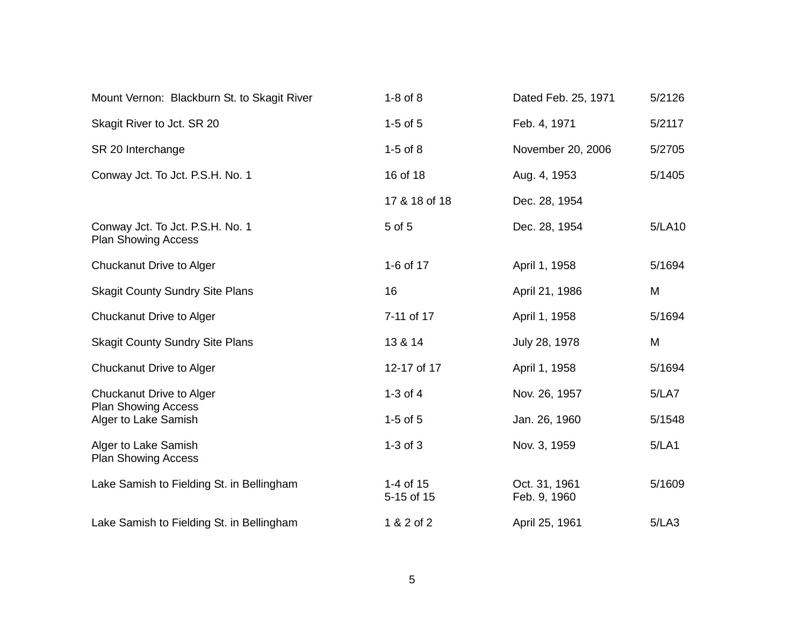| Mount Vernon: Blackburn St. to Skagit River                    | $1-8$ of $8$            | Dated Feb. 25, 1971           | 5/2126 |
|----------------------------------------------------------------|-------------------------|-------------------------------|--------|
| Skagit River to Jct. SR 20                                     | $1-5$ of $5$            | Feb. 4, 1971                  | 5/2117 |
| SR 20 Interchange                                              | $1-5$ of $8$            | November 20, 2006             | 5/2705 |
| Conway Jct. To Jct. P.S.H. No. 1                               | 16 of 18                | Aug. 4, 1953                  | 5/1405 |
|                                                                | 17 & 18 of 18           | Dec. 28, 1954                 |        |
| Conway Jct. To Jct. P.S.H. No. 1<br><b>Plan Showing Access</b> | 5 of 5                  | Dec. 28, 1954                 | 5/LA10 |
| Chuckanut Drive to Alger                                       | 1-6 of 17               | April 1, 1958                 | 5/1694 |
| <b>Skagit County Sundry Site Plans</b>                         | 16                      | April 21, 1986                | M      |
| <b>Chuckanut Drive to Alger</b>                                | 7-11 of 17              | April 1, 1958                 | 5/1694 |
| <b>Skagit County Sundry Site Plans</b>                         | 13 & 14                 | July 28, 1978                 | M      |
| Chuckanut Drive to Alger                                       | 12-17 of 17             | April 1, 1958                 | 5/1694 |
| Chuckanut Drive to Alger                                       | $1-3$ of $4$            | Nov. 26, 1957                 | 5/LAT  |
| <b>Plan Showing Access</b><br>Alger to Lake Samish             | $1-5$ of $5$            | Jan. 26, 1960                 | 5/1548 |
| Alger to Lake Samish<br><b>Plan Showing Access</b>             | $1-3$ of $3$            | Nov. 3, 1959                  | 5/LA1  |
| Lake Samish to Fielding St. in Bellingham                      | 1-4 of 15<br>5-15 of 15 | Oct. 31, 1961<br>Feb. 9, 1960 | 5/1609 |
| Lake Samish to Fielding St. in Bellingham                      | 1 & 2 of 2              | April 25, 1961                | 5/LA3  |